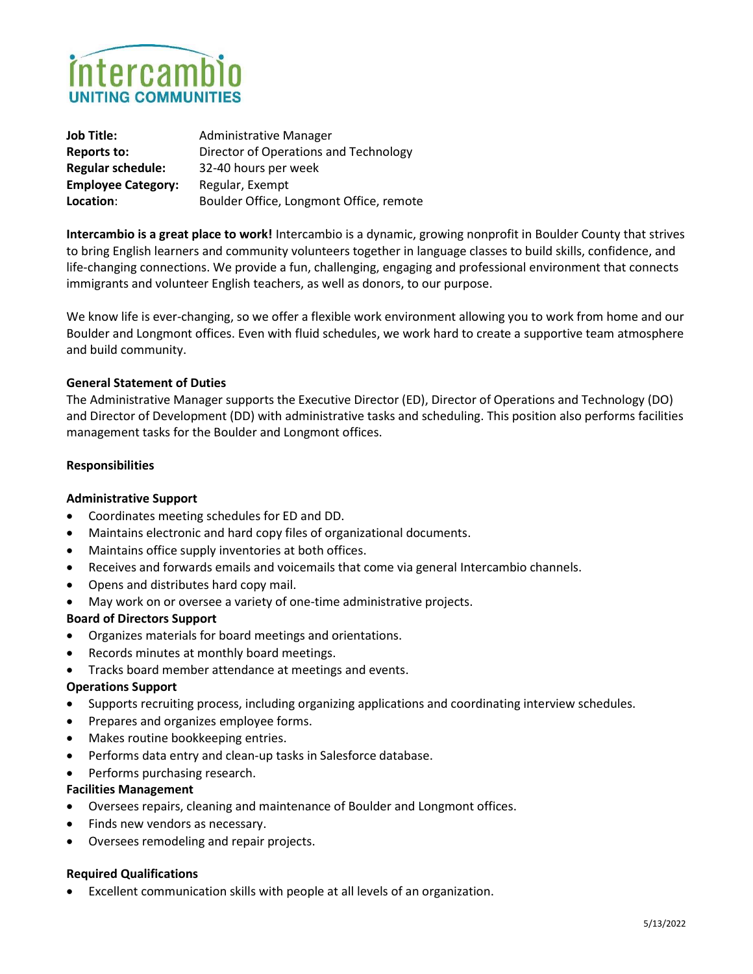

| <b>Job Title:</b>         | <b>Administrative Manager</b>           |
|---------------------------|-----------------------------------------|
| <b>Reports to:</b>        | Director of Operations and Technology   |
| <b>Regular schedule:</b>  | 32-40 hours per week                    |
| <b>Employee Category:</b> | Regular, Exempt                         |
| Location:                 | Boulder Office, Longmont Office, remote |

Intercambio is a great place to work! Intercambio is a dynamic, growing nonprofit in Boulder County that strives to bring English learners and community volunteers together in language classes to build skills, confidence, and life-changing connections. We provide a fun, challenging, engaging and professional environment that connects immigrants and volunteer English teachers, as well as donors, to our purpose.

We know life is ever-changing, so we offer a flexible work environment allowing you to work from home and our Boulder and Longmont offices. Even with fluid schedules, we work hard to create a supportive team atmosphere and build community.

## General Statement of Duties

The Administrative Manager supports the Executive Director (ED), Director of Operations and Technology (DO) and Director of Development (DD) with administrative tasks and scheduling. This position also performs facilities management tasks for the Boulder and Longmont offices.

### Responsibilities

### Administrative Support

- Coordinates meeting schedules for ED and DD.
- Maintains electronic and hard copy files of organizational documents.
- Maintains office supply inventories at both offices.
- Receives and forwards emails and voicemails that come via general Intercambio channels.
- Opens and distributes hard copy mail.
- May work on or oversee a variety of one-time administrative projects.

### Board of Directors Support

- Organizes materials for board meetings and orientations.
- Records minutes at monthly board meetings.
- Tracks board member attendance at meetings and events.

### Operations Support

- Supports recruiting process, including organizing applications and coordinating interview schedules.
- Prepares and organizes employee forms.
- Makes routine bookkeeping entries.
- Performs data entry and clean-up tasks in Salesforce database.
- Performs purchasing research.

### Facilities Management

- Oversees repairs, cleaning and maintenance of Boulder and Longmont offices.
- Finds new vendors as necessary.
- Oversees remodeling and repair projects.

### Required Qualifications

Excellent communication skills with people at all levels of an organization.